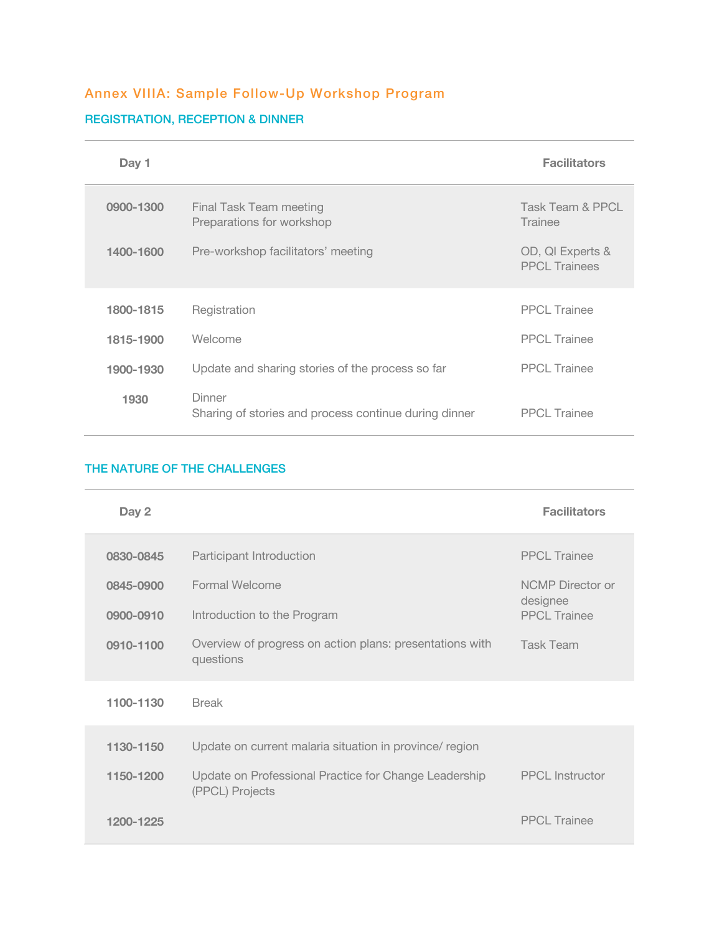## Annex VIIIA: Sample Follow-Up Workshop Program

## REGISTRATION, RECEPTION & DINNER

| Day 1     |                                                                 | <b>Facilitators</b>                      |
|-----------|-----------------------------------------------------------------|------------------------------------------|
| 0900-1300 | Final Task Team meeting<br>Preparations for workshop            | Task Team & PPCL<br>Trainee              |
| 1400-1600 | Pre-workshop facilitators' meeting                              | OD, QI Experts &<br><b>PPCL Trainees</b> |
| 1800-1815 | Registration                                                    | <b>PPCL Trainee</b>                      |
| 1815-1900 | Welcome                                                         | <b>PPCL Trainee</b>                      |
| 1900-1930 | Update and sharing stories of the process so far                | <b>PPCL Trainee</b>                      |
| 1930      | Dinner<br>Sharing of stories and process continue during dinner | <b>PPCL Trainee</b>                      |

## THE NATURE OF THE CHALLENGES

| Day 2     |                                                                          | <b>Facilitators</b>             |
|-----------|--------------------------------------------------------------------------|---------------------------------|
| 0830-0845 | Participant Introduction                                                 | <b>PPCL Trainee</b>             |
| 0845-0900 | Formal Welcome                                                           | NCMP Director or                |
| 0900-0910 | Introduction to the Program                                              | designee<br><b>PPCL Trainee</b> |
| 0910-1100 | Overview of progress on action plans: presentations with<br>questions    | <b>Task Team</b>                |
| 1100-1130 | <b>Break</b>                                                             |                                 |
| 1130-1150 | Update on current malaria situation in province/ region                  |                                 |
| 1150-1200 | Update on Professional Practice for Change Leadership<br>(PPCL) Projects | <b>PPCL</b> Instructor          |
| 1200-1225 |                                                                          | <b>PPCL Trainee</b>             |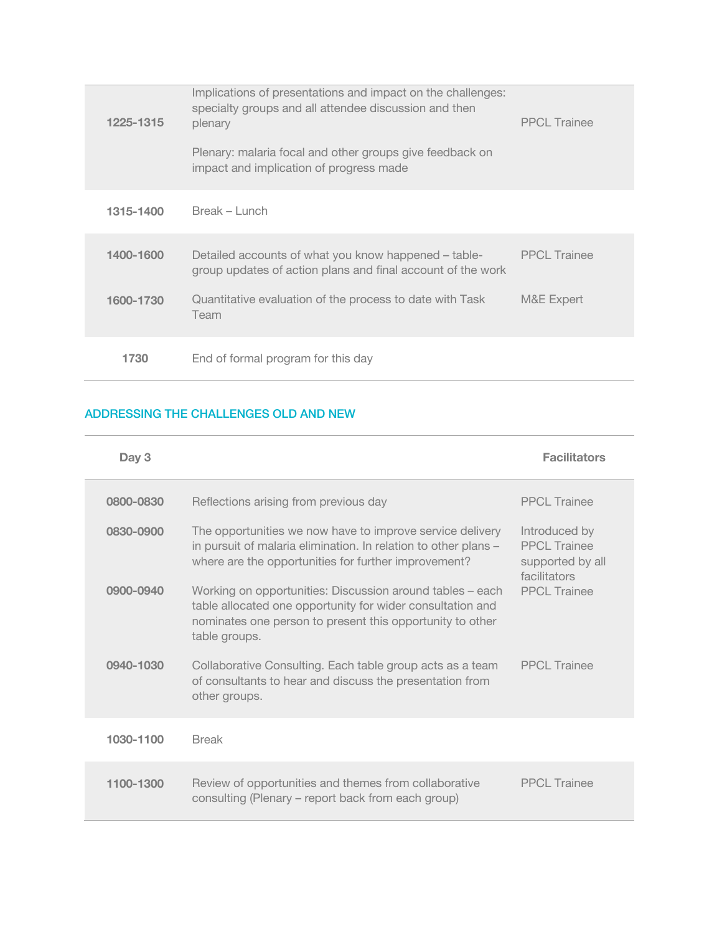| 1225-1315 | Implications of presentations and impact on the challenges:<br>specialty groups and all attendee discussion and then<br>plenary | <b>PPCL</b> Trainee |
|-----------|---------------------------------------------------------------------------------------------------------------------------------|---------------------|
|           | Plenary: malaria focal and other groups give feedback on<br>impact and implication of progress made                             |                     |
| 1315-1400 | Break – Lunch                                                                                                                   |                     |
| 1400-1600 | Detailed accounts of what you know happened – table-<br>group updates of action plans and final account of the work             | <b>PPCL</b> Trainee |
| 1600-1730 | Quantitative evaluation of the process to date with Task<br>Team                                                                | M&E Expert          |
| 1730      | End of formal program for this day                                                                                              |                     |

## ADDRESSING THE CHALLENGES OLD AND NEW

| Day 3     |                                                                                                                                                                                                       | <b>Facilitators</b>                                                      |
|-----------|-------------------------------------------------------------------------------------------------------------------------------------------------------------------------------------------------------|--------------------------------------------------------------------------|
| 0800-0830 | Reflections arising from previous day                                                                                                                                                                 | <b>PPCL Trainee</b>                                                      |
| 0830-0900 | The opportunities we now have to improve service delivery<br>in pursuit of malaria elimination. In relation to other plans -<br>where are the opportunities for further improvement?                  | Introduced by<br><b>PPCL Trainee</b><br>supported by all<br>facilitators |
| 0900-0940 | Working on opportunities: Discussion around tables - each<br>table allocated one opportunity for wider consultation and<br>nominates one person to present this opportunity to other<br>table groups. | <b>PPCL Trainee</b>                                                      |
| 0940-1030 | Collaborative Consulting. Each table group acts as a team<br>of consultants to hear and discuss the presentation from<br>other groups.                                                                | <b>PPCL Trainee</b>                                                      |
| 1030-1100 | <b>Break</b>                                                                                                                                                                                          |                                                                          |
| 1100-1300 | Review of opportunities and themes from collaborative<br>consulting (Plenary – report back from each group)                                                                                           | <b>PPCL Trainee</b>                                                      |